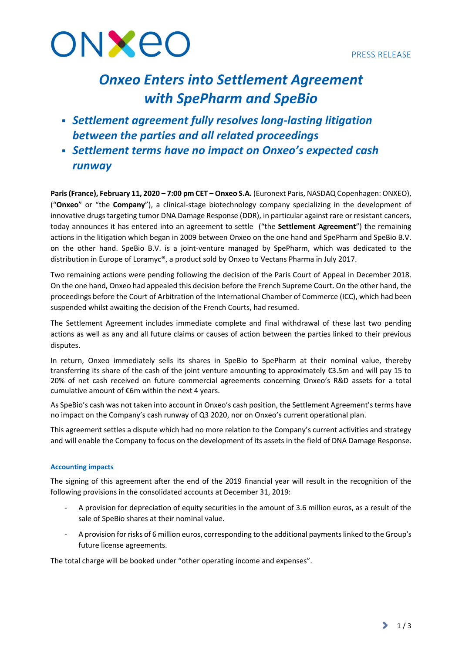

# *Onxeo Enters into Settlement Agreement with SpePharm and SpeBio*

- *Settlement agreement fully resolves long-lasting litigation between the parties and all related proceedings*
- *Settlement terms have no impact on Onxeo's expected cash runway*

**Paris (France), February 11, 2020 – 7:00 pm CET – Onxeo S.A.** (Euronext Paris, NASDAQ Copenhagen: ONXEO), ("**Onxeo**" or "the **Company**"), a clinical-stage biotechnology company specializing in the development of innovative drugs targeting tumor DNA Damage Response (DDR), in particular against rare or resistant cancers, today announces it has entered into an agreement to settle ("the **Settlement Agreement**") the remaining actions in the litigation which began in 2009 between Onxeo on the one hand and SpePharm and SpeBio B.V. on the other hand. SpeBio B.V. is a joint-venture managed by SpePharm, which was dedicated to the distribution in Europe of Loramyc®, a product sold by Onxeo to Vectans Pharma in July 2017.

Two remaining actions were pending following the decision of the Paris Court of Appeal in December 2018. On the one hand, Onxeo had appealed this decision before the French Supreme Court. On the other hand, the proceedings before the Court of Arbitration of the International Chamber of Commerce (ICC), which had been suspended whilst awaiting the decision of the French Courts, had resumed.

The Settlement Agreement includes immediate complete and final withdrawal of these last two pending actions as well as any and all future claims or causes of action between the parties linked to their previous disputes.

In return, Onxeo immediately sells its shares in SpeBio to SpePharm at their nominal value, thereby transferring its share of the cash of the joint venture amounting to approximately €3.5m and will pay 15 to 20% of net cash received on future commercial agreements concerning Onxeo's R&D assets for a total cumulative amount of €6m within the next 4 years.

As SpeBio's cash was not taken into account in Onxeo's cash position, the Settlement Agreement's terms have no impact on the Company's cash runway of Q3 2020, nor on Onxeo's current operational plan.

This agreement settles a dispute which had no more relation to the Company's current activities and strategy and will enable the Company to focus on the development of its assets in the field of DNA Damage Response.

# **Accounting impacts**

The signing of this agreement after the end of the 2019 financial year will result in the recognition of the following provisions in the consolidated accounts at December 31, 2019:

- A provision for depreciation of equity securities in the amount of 3.6 million euros, as a result of the sale of SpeBio shares at their nominal value.
- A provision for risks of 6 million euros, corresponding to the additional payments linked to the Group's future license agreements.

The total charge will be booked under "other operating income and expenses".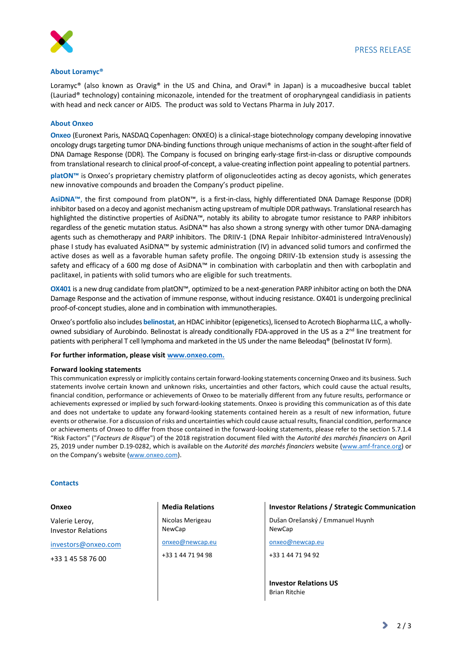

## **About Loramyc®**

Loramyc® (also known as Oravig® in the US and China, and Oravi® in Japan) is a mucoadhesive buccal tablet (Lauriad® technology) containing miconazole, intended for the treatment of oropharyngeal candidiasis in patients with head and neck cancer or AIDS. The product was sold to Vectans Pharma in July 2017.

## **About Onxeo**

**Onxeo** (Euronext Paris, NASDAQ Copenhagen: ONXEO) is a clinical-stage biotechnology company developing innovative oncology drugs targeting tumor DNA-binding functions through unique mechanisms of action in the sought-after field of DNA Damage Response (DDR). The Company is focused on bringing early-stage first-in-class or disruptive compounds from translational research to clinical proof-of-concept, a value-creating inflection point appealing to potential partners.

**platON™** is Onxeo's proprietary chemistry platform of oligonucleotides acting as decoy agonists, which generates new innovative compounds and broaden the Company's product pipeline.

**AsiDNA™**, the first compound from platON™, is a first-in-class, highly differentiated DNA Damage Response (DDR) inhibitor based on a decoy and agonist mechanism acting upstream of multiple DDR pathways. Translational research has highlighted the distinctive properties of AsiDNA™, notably its ability to abrogate tumor resistance to PARP inhibitors regardless of the genetic mutation status. AsiDNA™ has also shown a strong synergy with other tumor DNA-damaging agents such as chemotherapy and PARP inhibitors. The DRIIV-1 (DNA Repair Inhibitor-administered IntraVenously) phase I study has evaluated AsiDNA™ by systemic administration (IV) in advanced solid tumors and confirmed the active doses as well as a favorable human safety profile. The ongoing DRIIV-1b extension study is assessing the safety and efficacy of a 600 mg dose of AsiDNA™ in combination with carboplatin and then with carboplatin and paclitaxel, in patients with solid tumors who are eligible for such treatments.

**OX401** is a new drug candidate from platON™, optimized to be a next-generation PARP inhibitor acting on both the DNA Damage Response and the activation of immune response, without inducing resistance. OX401 is undergoing preclinical proof-of-concept studies, alone and in combination with immunotherapies.

Onxeo's portfolio also includes **belinostat**, an HDAC inhibitor (epigenetics), licensed to Acrotech Biopharma LLC, a whollyowned subsidiary of Aurobindo. Belinostat is already conditionally FDA-approved in the US as a 2<sup>nd</sup> line treatment for patients with peripheral T cell lymphoma and marketed in the US under the name Beleodaq® (belinostat IV form).

**For further information, please visit www.onxeo.com.**

#### **Forward looking statements**

This communication expressly or implicitly contains certain forward-looking statements concerning Onxeo and its business. Such statements involve certain known and unknown risks, uncertainties and other factors, which could cause the actual results, financial condition, performance or achievements of Onxeo to be materially different from any future results, performance or achievements expressed or implied by such forward-looking statements. Onxeo is providing this communication as of this date and does not undertake to update any forward-looking statements contained herein as a result of new information, future events or otherwise. For a discussion of risks and uncertainties which could cause actual results, financial condition, performance or achievements of Onxeo to differ from those contained in the forward-looking statements, please refer to the section 5.7.1.4 "Risk Factors" ("*Facteurs de Risque*") of the 2018 registration document filed with the *Autorité des marchés financiers* on April 25, 2019 under number D.19-0282, which is available on the *Autorité des marchés financiers* website (www.amf-france.org) or on the Company's website ([www.onxeo.com\)](http://www.onxeo.com/).

### **Contacts**

#### **Onxeo**

Valerie Leroy, Investor Relations

investors@onxeo.com

+33 1 45 58 76 00

**Media Relations**

Nicolas Merigeau NewCap

onxeo@newcap.eu

+33 1 44 71 94 98

**Investor Relations / Strategic Communication**

Dušan Orešanský / Emmanuel Huynh NewCap

onxeo@newcap.eu

+33 1 44 71 94 92

**Investor Relations US** Brian Ritchie